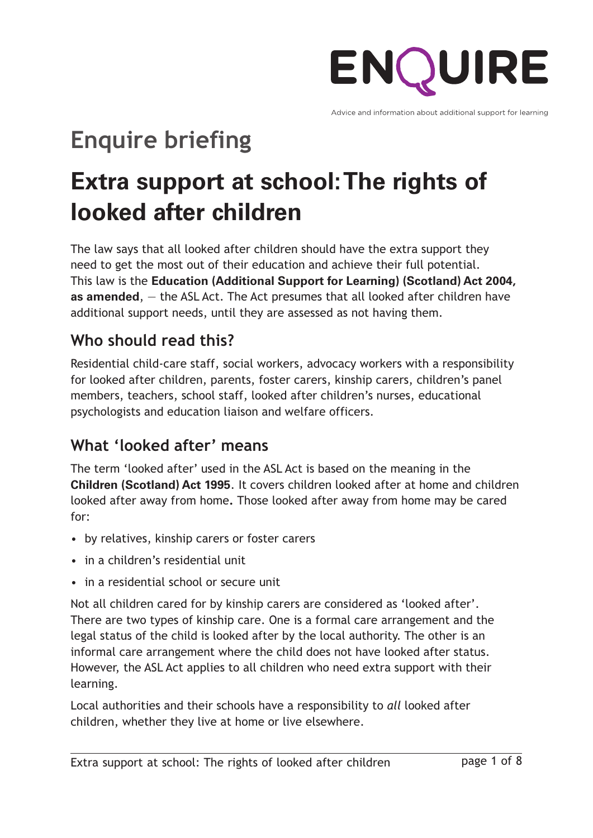

Advice and information about additional support for learning

# **Enquire briefing**

## **Extra support at school:The rights of looked after children**

The law says that all looked after children should have the extra support they need to get the most out of their education and achieve their full potential. This law is the **Education [\(Additional](http://www.legislation.gov.uk/asp/2009/7/contents) Support for Learning) (Scotland) Act 2004, as [amended](http://www.legislation.gov.uk/asp/2009/7/contents)**, — the ASL Act. The Act presumes that all looked after children have additional support needs, until they are assessed as not having them.

## **Who should read this?**

Residential child-care staff, social workers, advocacy workers with a responsibility for looked after children, parents, foster carers, kinship carers, children's panel members, teachers, school staff, looked after children's nurses, educational psychologists and education liaison and welfare officers.

## **What 'looked after' means**

The term 'looked after' used in the ASL Act is based on the meaning in the **Children [\(Scotland\)](http://www.legislation.gov.uk/ukpga/1995/36/contents) Act 1995**. It covers children looked after at home and children looked after away from home**.** Those looked after away from home may be cared for:

- by relatives, kinship carers or foster carers
- in a children's residential unit
- in a residential school or secure unit

Not all children cared for by kinship carers are considered as 'looked after'. There are two types of kinship care. One is a formal care arrangement and the legal status of the child is looked after by the local authority. The other is an informal care arrangement where the child does not have looked after status. However, the ASL Act applies to all children who need extra support with their learning.

Local authorities and their schools have a responsibility to *all* looked after children, whether they live at home or live elsewhere.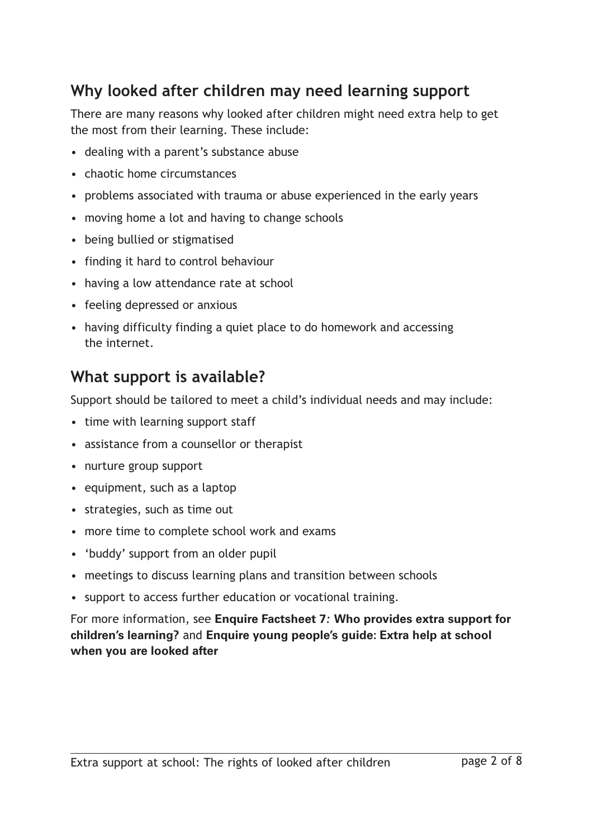#### **Why looked after children may need learning support**

There are many reasons why looked after children might need extra help to get the most from their learning. These include:

- dealing with a parent's substance abuse
- chaotic home circumstances
- problems associated with trauma or abuse experienced in the early years
- moving home a lot and having to change schools
- being bullied or stigmatised
- finding it hard to control behaviour
- having a low attendance rate at school
- feeling depressed or anxious
- having difficulty finding a quiet place to do homework and accessing the internet.

#### **What support is available?**

Support should be tailored to meet a child's individual needs and may include:

- time with learning support staff
- assistance from a counsellor or therapist
- nurture group support
- equipment, such as a laptop
- strategies, such as time out
- more time to complete school work and exams
- 'buddy' support from an older pupil
- meetings to discuss learning plans and transition between schools
- support to access further education or vocational training.

For more information, see **Enquire [Factsheet](http://enquire.org.uk/publications/factsheets/who-provides-extra-support) 7***:* **Who provides extra support for [children's](http://enquire.org.uk/publications/factsheets/who-provides-extra-support) learning?** and **Enquire young [people's](http://enquire.org.uk/yp/downloads.php) guide: Extra help at school when you are [looked](http://enquire.org.uk/yp/downloads.php) after**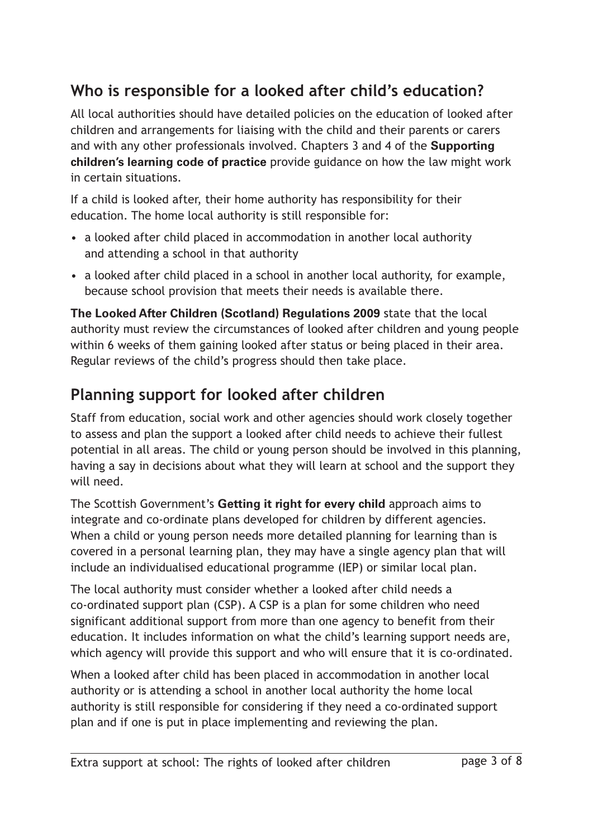## **Who is responsible for a looked after child's education?**

All local authorities should have detailed policies on the education of looked after children and arrangements for liaising with the child and their parents or carers and with any other professionals involved. Chapters 3 and 4 of the **[Supporting](http://www.gov.scot/Publications/2011/04/04090720/0) [children's](http://www.gov.scot/Publications/2011/04/04090720/0) learning code of practice** provide guidance on how the law might work in certain situations.

If a child is looked after, their home authority has responsibility for their education. The home local authority is still responsible for:

- a looked after child placed in accommodation in another local authority and attending a school in that authority
- a looked after child placed in a school in another local authority, for example, because school provision that meets their needs is available there.

**The Looked After Children (Scotland) [Regulations](http://www.legislation.gov.uk/ssi/2009/210/contents/made) 2009** state that the local authority must review the circumstances of looked after children and young people within 6 weeks of them gaining looked after status or being placed in their area. Regular reviews of the child's progress should then take place.

### **Planning support for looked after children**

Staff from education, social work and other agencies should work closely together to assess and plan the support a looked after child needs to achieve their fullest potential in all areas. The child or young person should be involved in this planning, having a say in decisions about what they will learn at school and the support they will need.

The Scottish Government's **[Getting](http://www.gov.scot/Topics/People/Young-People/gettingitright/publications) it right for every child** approach aims to integrate and co-ordinate plans developed for children by different agencies. When a child or young person needs more detailed planning for learning than is covered in a personal learning plan, they may have a single agency plan that will include an individualised educational programme (IEP) or similar local plan.

The local authority must consider whether a looked after child needs a co-ordinated support plan (CSP). A CSP is a plan for some children who need significant additional support from more than one agency to benefit from their education. It includes information on what the child's learning support needs are, which agency will provide this support and who will ensure that it is co-ordinated.

When a looked after child has been placed in accommodation in another local authority or is attending a school in another local authority the home local authority is still responsible for considering if they need a co-ordinated support plan and if one is put in place implementing and reviewing the plan.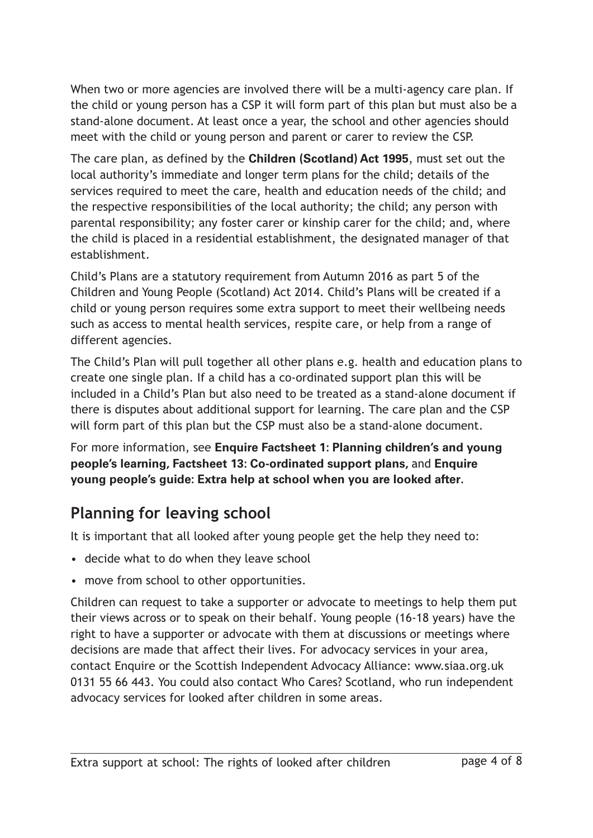When two or more agencies are involved there will be a multi-agency care plan. If the child or young person has a CSP it will form part of this plan but must also be a stand-alone document. At least once a year, the school and other agencies should meet with the child or young person and parent or carer to review the CSP.

The care plan, as defined by the **Children [\(Scotland\)](http://www.legislation.gov.uk/ukpga/1995/36/contents) Act 1995**, must set out the local authority's immediate and longer term plans for the child; details of the services required to meet the care, health and education needs of the child; and the respective responsibilities of the local authority; the child; any person with parental responsibility; any foster carer or kinship carer for the child; and, where the child is placed in a residential establishment, the designated manager of that establishment.

Child's Plans are a statutory requirement from Autumn 2016 as part 5 of the Children and Young People (Scotland) Act 2014. Child's Plans will be created if a child or young person requires some extra support to meet their wellbeing needs such as access to mental health services, respite care, or help from a range of different agencies.

The Child's Plan will pull together all other plans e.g. health and education plans to create one single plan. If a child has a co-ordinated support plan this will be included in a Child's Plan but also need to be treated as a stand-alone document if there is disputes about additional support for learning. The care plan and the CSP will form part of this plan but the CSP must also be a stand-alone document.

For more information, see **Enquire [Factsheet](http://enquire.org.uk/publications/factsheets/planning-childrens-and-young-peoples-learning) 1: Planning children's and young people's [learning,](http://enquire.org.uk/publications/factsheets/planning-childrens-and-young-peoples-learning) Factsheet 13: [Co-ordinated](http://enquire.org.uk/publications/factsheets/co-ordinated-support-plans) support plans,** and **[Enquire](http://enquire.org.uk/yp/downloads.php) young [people's](http://enquire.org.uk/yp/downloads.php) guide: Extra help at school when you are looked after.**

## **Planning for leaving school**

It is important that all looked after young people get the help they need to:

- decide what to do when they leave school
- move from school to other opportunities.

Children can request to take a supporter or advocate to meetings to help them put their views across or to speak on their behalf. Young people (16-18 years) have the right to have a supporter or advocate with them at discussions or meetings where decisions are made that affect their lives. For advocacy services in your area, contact Enquire or the Scottish Independent Advocacy Alliance: www.siaa.org.uk 0131 55 66 443. You could also contact Who Cares? Scotland, who run independent advocacy services for looked after children in some areas.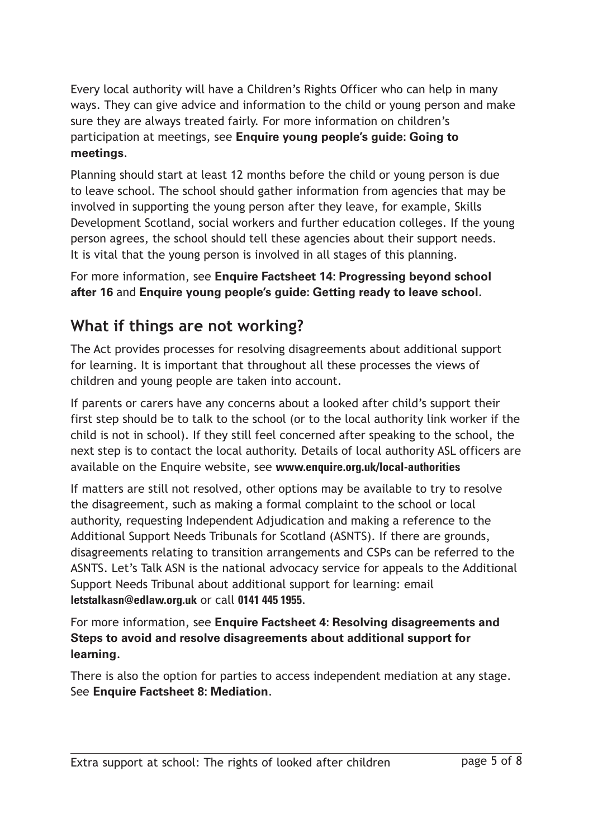Every local authority will have a Children's Rights Officer who can help in many ways. They can give advice and information to the child or young person and make sure they are always treated fairly. For more information on children's participation at meetings, see **Enquire young [people's](http://enquire.org.uk/yp/downloads.php) guide: Going to [meetings](http://enquire.org.uk/yp/downloads.php)**.

Planning should start at least 12 months before the child or young person is due to leave school. The school should gather information from agencies that may be involved in supporting the young person after they leave, for example, Skills Development Scotland, social workers and further education colleges. If the young person agrees, the school should tell these agencies about their support needs. It is vital that the young person is involved in all stages of this planning.

For more information, see **Enquire Factsheet 14: [Progressing](http://enquire.org.uk/publications/factsheets/progressing-beyond-school-after-16) beyond school [after](http://enquire.org.uk/publications/factsheets/progressing-beyond-school-after-16) 16** and **Enquire young [people's](http://enquire.org.uk/yp/downloads.php) guide: Getting ready to leave school**.

#### **What if things are not working?**

The Act provides processes for resolving disagreements about additional support for learning. It is important that throughout all these processes the views of children and young people are taken into account.

If parents or carers have any concerns about a looked after child's support their first step should be to talk to the school (or to the local authority link worker if the child is not in school). If they still feel concerned after speaking to the school, the next step is to contact the local authority. Details of local authority ASL officers are available on the Enquire website, see **www.enquire.org.uk/local-authorities**

If matters are still not resolved, other options may be available to try to resolve the disagreement, such as making a formal complaint to the school or local authority, requesting Independent Adjudication and making a reference to the Additional Support Needs Tribunals for Scotland (ASNTS). If there are grounds, disagreements relating to transition arrangements and CSPs can be referred to the ASNTS. Let's Talk ASN is the national advocacy service for appeals to the Additional Support Needs Tribunal about additional support for learning: email **letstalkasn@edlaw.org.uk** or call **0141 445 1955**.

For more information, see **Enquire Factsheet 4: Resolving [disagreements](http://enquire.org.uk/publications/factsheets/resolving-disagreements) and Steps to avoid and resolve [disagreements](http://enquire.org.uk/publications/factsheets/resolving-disagreements) about additional support for [learning](http://enquire.org.uk/publications/factsheets/resolving-disagreements)***.*

There is also the option for parties to access independent mediation at any stage. See **Enquire Factsheet 8: [Mediation](http://enquire.org.uk/publications/factsheets/mediation)**.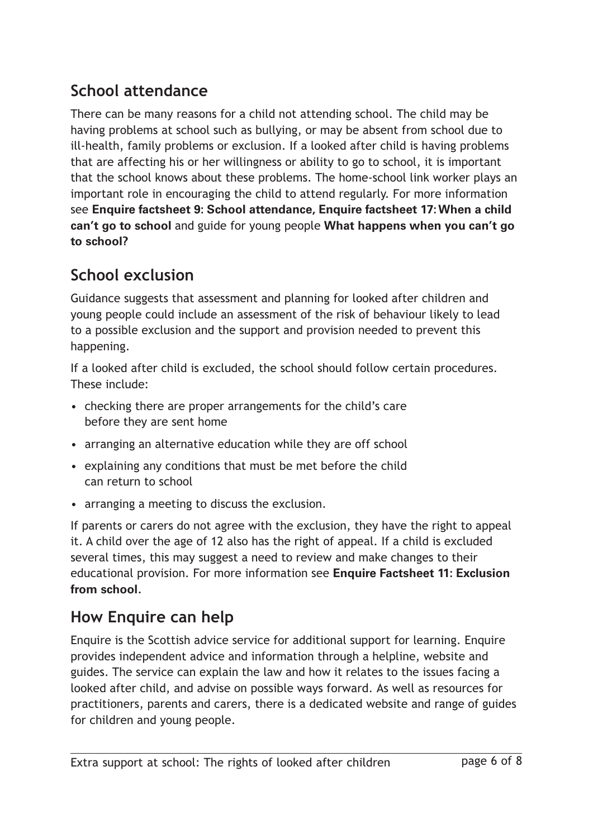## **School attendance**

There can be many reasons for a child not attending school. The child may be having problems at school such as bullying, or may be absent from school due to ill-health, family problems or exclusion. If a looked after child is having problems that are affecting his or her willingness or ability to go to school, it is important that the school knows about these problems. The home-school link worker plays an important role in encouraging the child to attend regularly. For more information see **Enquire factsheet 9: School [attendance,](http://enquire.org.uk/publications/factsheets/school-attendance) Enquire [factsheet](http://enquire.org.uk/publications/factsheets/factsheet-17-when-a-child-cant-go-to-school) 17:When a child can't go to school** and guide for young people **What [happens](http://enquire.org.uk/yp/downloads.php) when you can't go to [school?](http://enquire.org.uk/yp/downloads.php)**

## **School exclusion**

Guidance suggests that assessment and planning for looked after children and young people could include an assessment of the risk of behaviour likely to lead to a possible exclusion and the support and provision needed to prevent this happening.

If a looked after child is excluded, the school should follow certain procedures. These include:

- checking there are proper arrangements for the child's care before they are sent home
- arranging an alternative education while they are off school
- explaining any conditions that must be met before the child can return to school
- arranging a meeting to discuss the exclusion.

If parents or carers do not agree with the exclusion, they have the right to appeal it. A child over the age of 12 also has the right of appeal. If a child is excluded several times, this may suggest a need to review and make changes to their educational provision. For more information see **Enquire [Factsheet](http://enquire.org.uk/publications/factsheets/exclusion-from-school) 11: Exclusion from [school](http://enquire.org.uk/publications/factsheets/exclusion-from-school)***.*

## **How Enquire can help**

Enquire is the Scottish advice service for additional support for learning. Enquire provides independent advice and information through a helpline, website and guides. The service can explain the law and how it relates to the issues facing a looked after child, and advise on possible ways forward. As well as resources for practitioners, parents and carers, there is a dedicated website and range of guides for children and young people.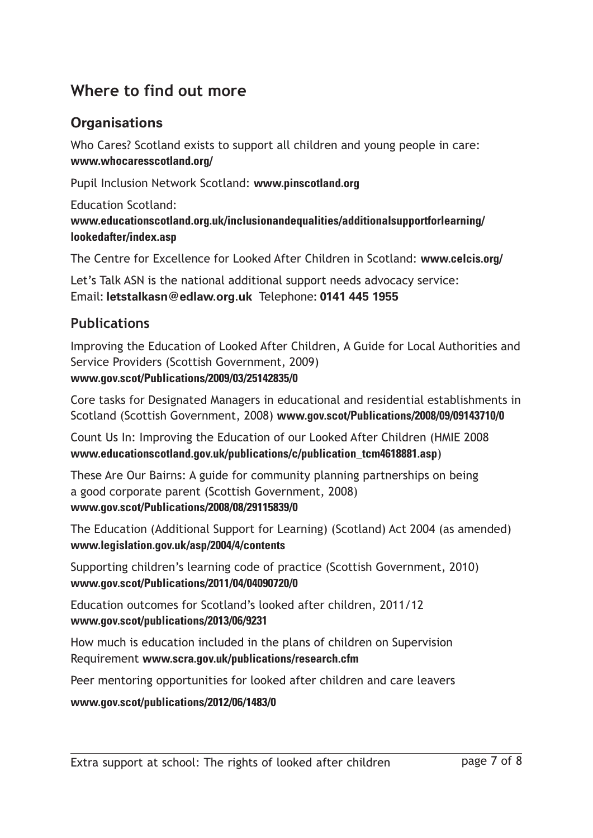#### **Where to find out more**

#### **Organisations**

Who Cares? Scotland exists to support all children and young people in care: **www.whocaresscotland.org/**

Pupil Inclusion Network Scotland: **www.pinscotland.org**

Education Scotland:

**[www.educationscotland.org.uk/inclusionandequalities/additionalsupportforlearning/](http://www.educationscotland.gov.uk/inclusionandequalities/additionalsupportforlearning/lookedafter/index.asp) [lookedafter/index.asp](http://www.educationscotland.gov.uk/inclusionandequalities/additionalsupportforlearning/lookedafter/index.asp)**

The Centre for Excellence for Looked After Children in Scotland: **www.celcis.org/**

Let's Talk ASN is the national additional support needs advocacy service: Email**: letstalkasn@edlaw.org.uk** Telephone**: 0141 445 1955**

#### **Publications**

Improving the Education of Looked After Children, A Guide for Local Authorities and Service Providers (Scottish Government, 2009) **www.gov.scot/Publications/2009/03/25142835/0**

Core tasks for Designated Managers in educational and residential establishments in Scotland (Scottish Government, 2008) **www.gov.scot/Publications/2008/09/09143710/0**

Count Us In: Improving the Education of our Looked After Children (HMIE 2008 **www.educationscotland.gov.uk/publications/c/publication\_tcm4618881.asp**)

These Are Our Bairns: A guide for community planning partnerships on being a good corporate parent (Scottish Government, 2008) **www.gov.scot/Publications/2008/08/29115839/0**

The Education (Additional Support for Learning) (Scotland) Act 2004 (as amended) **www.legislation.gov.uk/asp/2004/4/contents**

Supporting children's learning code of practice (Scottish Government, 2010) **www.gov.scot/Publications/2011/04/04090720/0**

Education outcomes for Scotland's looked after children, 2011/12 **www.gov.scot/publications/2013/06/9231**

How much is education included in the plans of children on Supervision Requirement **www.scra.gov.uk/publications/research.cfm**

Peer mentoring opportunities for looked after children and care leavers

**www.gov.scot/publications/2012/06/1483/0**